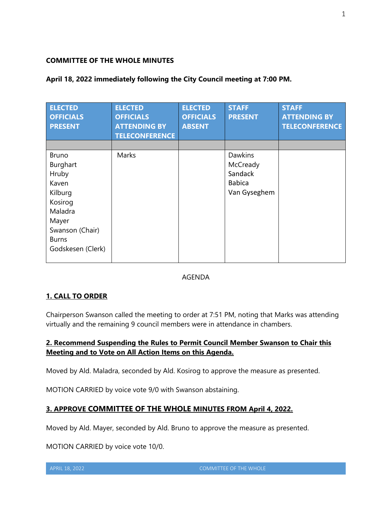### **COMMITTEE OF THE WHOLE MINUTES**

| <b>ELECTED</b><br><b>OFFICIALS</b><br><b>PRESENT</b>                                                                                         | <b>ELECTED</b><br><b>OFFICIALS</b><br><b>ATTENDING BY</b><br><b>TELECONFERENCE</b> | <b>ELECTED</b><br><b>OFFICIALS</b><br><b>ABSENT</b> | <b>STAFF</b><br><b>PRESENT</b>                                  | <b>STAFF</b><br><b>ATTENDING BY</b><br><b>TELECONFERENCE</b> |
|----------------------------------------------------------------------------------------------------------------------------------------------|------------------------------------------------------------------------------------|-----------------------------------------------------|-----------------------------------------------------------------|--------------------------------------------------------------|
| <b>Bruno</b><br>Burghart<br>Hruby<br>Kaven<br>Kilburg<br>Kosirog<br>Maladra<br>Mayer<br>Swanson (Chair)<br><b>Burns</b><br>Godskesen (Clerk) | Marks                                                                              |                                                     | Dawkins<br>McCready<br>Sandack<br><b>Babica</b><br>Van Gyseghem |                                                              |

### **April 18, 2022 immediately following the City Council meeting at 7:00 PM.**

#### AGENDA

### **1. CALL TO ORDER**

Chairperson Swanson called the meeting to order at 7:51 PM, noting that Marks was attending virtually and the remaining 9 council members were in attendance in chambers.

# **2. Recommend Suspending the Rules to Permit Council Member Swanson to Chair this Meeting and to Vote on All Action Items on this Agenda.**

Moved by Ald. Maladra, seconded by Ald. Kosirog to approve the measure as presented.

MOTION CARRIED by voice vote 9/0 with Swanson abstaining.

# **3. APPROVE COMMITTEE OF THE WHOLE MINUTES FROM April 4, 2022.**

Moved by Ald. Mayer, seconded by Ald. Bruno to approve the measure as presented.

MOTION CARRIED by voice vote 10/0.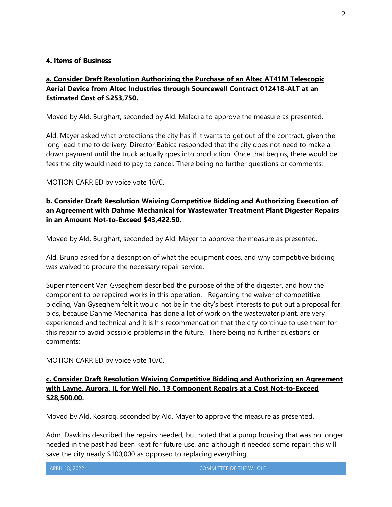### **4. Items of Business**

# **a. Consider Draft Resolution Authorizing the Purchase of an Altec AT41M Telescopic Aerial Device from Altec Industries through Sourcewell Contract 012418-ALT at an Estimated Cost of \$253,750.**

Moved by Ald. Burghart, seconded by Ald. Maladra to approve the measure as presented.

Ald. Mayer asked what protections the city has if it wants to get out of the contract, given the long lead-time to delivery. Director Babica responded that the city does not need to make a down payment until the truck actually goes into production. Once that begins, there would be fees the city would need to pay to cancel. There being no further questions or comments:

MOTION CARRIED by voice vote 10/0.

# **b. Consider Draft Resolution Waiving Competitive Bidding and Authorizing Execution of an Agreement with Dahme Mechanical for Wastewater Treatment Plant Digester Repairs in an Amount Not-to-Exceed \$43,422.50.**

Moved by Ald. Burghart, seconded by Ald. Mayer to approve the measure as presented.

Ald. Bruno asked for a description of what the equipment does, and why competitive bidding was waived to procure the necessary repair service.

Superintendent Van Gyseghem described the purpose of the of the digester, and how the component to be repaired works in this operation. Regarding the waiver of competitive bidding, Van Gyseghem felt it would not be in the city's best interests to put out a proposal for bids, because Dahme Mechanical has done a lot of work on the wastewater plant, are very experienced and technical and it is his recommendation that the city continue to use them for this repair to avoid possible problems in the future. There being no further questions or comments:

MOTION CARRIED by voice vote 10/0.

### **c. Consider Draft Resolution Waiving Competitive Bidding and Authorizing an Agreement with Layne, Aurora, IL for Well No. 13 Component Repairs at a Cost Not-to-Exceed \$28,500.00.**

Moved by Ald. Kosirog, seconded by Ald. Mayer to approve the measure as presented.

Adm. Dawkins described the repairs needed, but noted that a pump housing that was no longer needed in the past had been kept for future use, and although it needed some repair, this will save the city nearly \$100,000 as opposed to replacing everything.